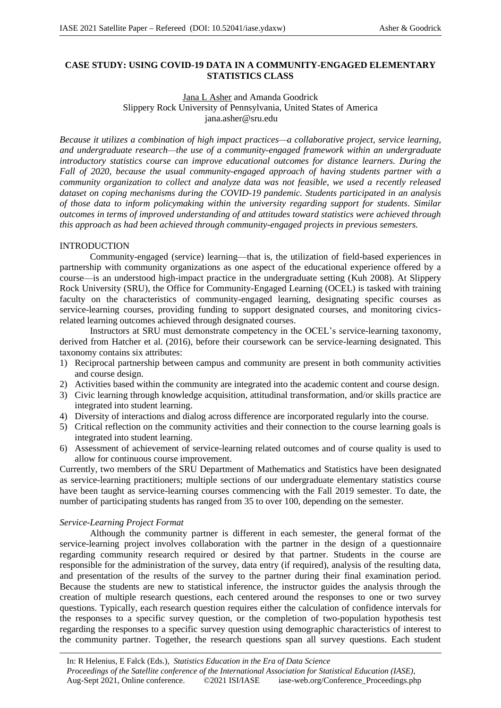# **CASE STUDY: USING COVID-19 DATA IN A COMMUNITY-ENGAGED ELEMENTARY STATISTICS CLASS**

# Jana L Asher and Amanda Goodrick Slippery Rock University of Pennsylvania, United States of America jana.asher@sru.edu

*Because it utilizes a combination of high impact practices—a collaborative project, service learning, and undergraduate research—the use of a community-engaged framework within an undergraduate introductory statistics course can improve educational outcomes for distance learners. During the Fall of 2020, because the usual community-engaged approach of having students partner with a community organization to collect and analyze data was not feasible, we used a recently released dataset on coping mechanisms during the COVID-19 pandemic. Students participated in an analysis of those data to inform policymaking within the university regarding support for students. Similar outcomes in terms of improved understanding of and attitudes toward statistics were achieved through this approach as had been achieved through community-engaged projects in previous semesters.* 

## INTRODUCTION

Community-engaged (service) learning—that is, the utilization of field-based experiences in partnership with community organizations as one aspect of the educational experience offered by a course—is an understood high-impact practice in the undergraduate setting (Kuh 2008). At Slippery Rock University (SRU), the Office for Community-Engaged Learning (OCEL) is tasked with training faculty on the characteristics of community-engaged learning, designating specific courses as service-learning courses, providing funding to support designated courses, and monitoring civicsrelated learning outcomes achieved through designated courses.

Instructors at SRU must demonstrate competency in the OCEL's service-learning taxonomy, derived from Hatcher et al. (2016), before their coursework can be service-learning designated. This taxonomy contains six attributes:

- 1) Reciprocal partnership between campus and community are present in both community activities and course design.
- 2) Activities based within the community are integrated into the academic content and course design.
- 3) Civic learning through knowledge acquisition, attitudinal transformation, and/or skills practice are integrated into student learning.
- 4) Diversity of interactions and dialog across difference are incorporated regularly into the course.
- 5) Critical reflection on the community activities and their connection to the course learning goals is integrated into student learning.
- 6) Assessment of achievement of service-learning related outcomes and of course quality is used to allow for continuous course improvement.

Currently, two members of the SRU Department of Mathematics and Statistics have been designated as service-learning practitioners; multiple sections of our undergraduate elementary statistics course have been taught as service-learning courses commencing with the Fall 2019 semester. To date, the number of participating students has ranged from 35 to over 100, depending on the semester.

## *Service-Learning Project Format*

Although the community partner is different in each semester, the general format of the service-learning project involves collaboration with the partner in the design of a questionnaire regarding community research required or desired by that partner. Students in the course are responsible for the administration of the survey, data entry (if required), analysis of the resulting data, and presentation of the results of the survey to the partner during their final examination period. Because the students are new to statistical inference, the instructor guides the analysis through the creation of multiple research questions, each centered around the responses to one or two survey questions. Typically, each research question requires either the calculation of confidence intervals for the responses to a specific survey question, or the completion of two-population hypothesis test regarding the responses to a specific survey question using demographic characteristics of interest to the community partner. Together, the research questions span all survey questions. Each student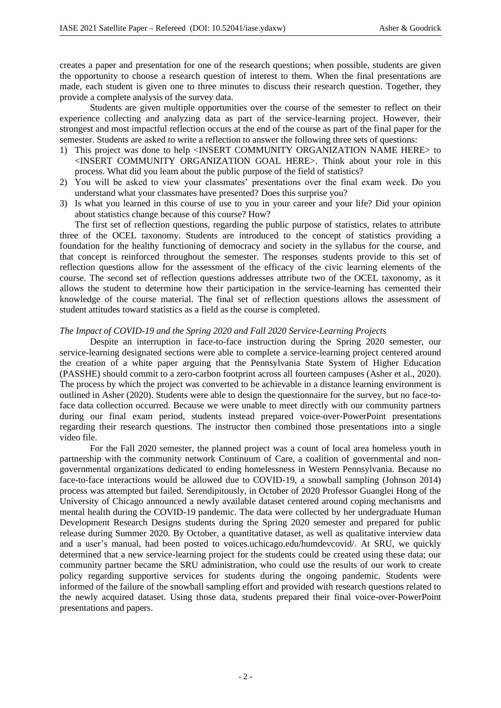creates a paper and presentation for one of the research questions; when possible, students are given the opportunity to choose a research question of interest to them. When the final presentations are made, each student is given one to three minutes to discuss their research question. Together, they provide a complete analysis of the survey data.

Students are given multiple opportunities over the course of the semester to reflect on their experience collecting and analyzing data as part of the service-learning project. However, their strongest and most impactful reflection occurs at the end of the course as part of the final paper for the semester. Students are asked to write a reflection to answer the following three sets of questions:

- 1) This project was done to help <INSERT COMMUNITY ORGANIZATION NAME HERE> to <INSERT COMMUNITY ORGANIZATION GOAL HERE>. Think about your role in this process. What did you learn about the public purpose of the field of statistics?
- 2) You will be asked to view your classmates' presentations over the final exam week. Do you understand what your classmates have presented? Does this surprise you?
- 3) Is what you learned in this course of use to you in your career and your life? Did your opinion about statistics change because of this course? How?

The first set of reflection questions, regarding the public purpose of statistics, relates to attribute three of the OCEL taxonomy. Students are introduced to the concept of statistics providing a foundation for the healthy functioning of democracy and society in the syllabus for the course, and that concept is reinforced throughout the semester. The responses students provide to this set of reflection questions allow for the assessment of the efficacy of the civic learning elements of the course. The second set of reflection questions addresses attribute two of the OCEL taxonomy, as it allows the student to determine how their participation in the service-learning has cemented their knowledge of the course material. The final set of reflection questions allows the assessment of student attitudes toward statistics as a field as the course is completed.

### *The Impact of COVID-19 and the Spring 2020 and Fall 2020 Service-Learning Projects*

Despite an interruption in face-to-face instruction during the Spring 2020 semester, our service-learning designated sections were able to complete a service-learning project centered around the creation of a white paper arguing that the Pennsylvania State System of Higher Education (PASSHE) should commit to a zero-carbon footprint across all fourteen campuses (Asher et al., 2020). The process by which the project was converted to be achievable in a distance learning environment is outlined in Asher (2020). Students were able to design the questionnaire for the survey, but no face-toface data collection occurred. Because we were unable to meet directly with our community partners during our final exam period, students instead prepared voice-over-PowerPoint presentations regarding their research questions. The instructor then combined those presentations into a single video file.

For the Fall 2020 semester, the planned project was a count of local area homeless youth in partnership with the community network Continuum of Care, a coalition of governmental and nongovernmental organizations dedicated to ending homelessness in Western Pennsylvania. Because no face-to-face interactions would be allowed due to COVID-19, a snowball sampling (Johnson 2014) process was attempted but failed. Serendipitously, in October of 2020 Professor Guanglei Hong of the University of Chicago announced a newly available dataset centered around coping mechanisms and mental health during the COVID-19 pandemic. The data were collected by her undergraduate Human Development Research Designs students during the Spring 2020 semester and prepared for public release during Summer 2020. By October, a quantitative dataset, as well as qualitative interview data and a user's manual, had been posted to voices.uchicago.edu/humdevcovid/. At SRU, we quickly determined that a new service-learning project for the students could be created using these data; our community partner became the SRU administration, who could use the results of our work to create policy regarding supportive services for students during the ongoing pandemic. Students were informed of the failure of the snowball sampling effort and provided with research questions related to the newly acquired dataset. Using those data, students prepared their final voice-over-PowerPoint presentations and papers.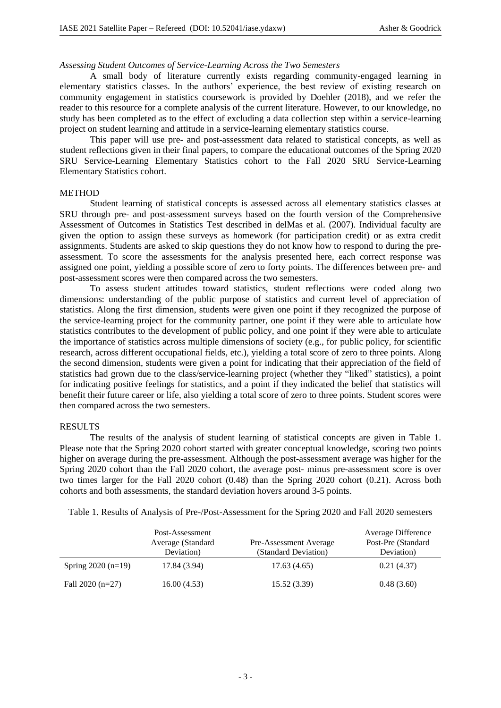#### *Assessing Student Outcomes of Service-Learning Across the Two Semesters*

A small body of literature currently exists regarding community-engaged learning in elementary statistics classes. In the authors' experience, the best review of existing research on community engagement in statistics coursework is provided by Doehler (2018), and we refer the reader to this resource for a complete analysis of the current literature. However, to our knowledge, no study has been completed as to the effect of excluding a data collection step within a service-learning project on student learning and attitude in a service-learning elementary statistics course.

This paper will use pre- and post-assessment data related to statistical concepts, as well as student reflections given in their final papers, to compare the educational outcomes of the Spring 2020 SRU Service-Learning Elementary Statistics cohort to the Fall 2020 SRU Service-Learning Elementary Statistics cohort.

### METHOD

Student learning of statistical concepts is assessed across all elementary statistics classes at SRU through pre- and post-assessment surveys based on the fourth version of the Comprehensive Assessment of Outcomes in Statistics Test described in delMas et al. (2007). Individual faculty are given the option to assign these surveys as homework (for participation credit) or as extra credit assignments. Students are asked to skip questions they do not know how to respond to during the preassessment. To score the assessments for the analysis presented here, each correct response was assigned one point, yielding a possible score of zero to forty points. The differences between pre- and post-assessment scores were then compared across the two semesters.

To assess student attitudes toward statistics, student reflections were coded along two dimensions: understanding of the public purpose of statistics and current level of appreciation of statistics. Along the first dimension, students were given one point if they recognized the purpose of the service-learning project for the community partner, one point if they were able to articulate how statistics contributes to the development of public policy, and one point if they were able to articulate the importance of statistics across multiple dimensions of society (e.g., for public policy, for scientific research, across different occupational fields, etc.), yielding a total score of zero to three points. Along the second dimension, students were given a point for indicating that their appreciation of the field of statistics had grown due to the class/service-learning project (whether they "liked" statistics), a point for indicating positive feelings for statistics, and a point if they indicated the belief that statistics will benefit their future career or life, also yielding a total score of zero to three points. Student scores were then compared across the two semesters.

### **RESULTS**

The results of the analysis of student learning of statistical concepts are given in Table 1. Please note that the Spring 2020 cohort started with greater conceptual knowledge, scoring two points higher on average during the pre-assessment. Although the post-assessment average was higher for the Spring 2020 cohort than the Fall 2020 cohort, the average post- minus pre-assessment score is over two times larger for the Fall 2020 cohort (0.48) than the Spring 2020 cohort (0.21). Across both cohorts and both assessments, the standard deviation hovers around 3-5 points.

|                     | Post-Assessment   |                        | Average Difference |
|---------------------|-------------------|------------------------|--------------------|
|                     | Average (Standard | Pre-Assessment Average | Post-Pre (Standard |
|                     | Deviation)        | (Standard Deviation)   | Deviation)         |
| Spring $2020(n=19)$ | 17.84 (3.94)      | 17.63(4.65)            | 0.21(4.37)         |

Table 1. Results of Analysis of Pre-/Post-Assessment for the Spring 2020 and Fall 2020 semesters

| Spring $2020(n=19)$ | 17.84 (3.94) | 17.63 (4.65) | 0.21(4.37) |
|---------------------|--------------|--------------|------------|
| Fall 2020 (n=27)    | 16.00(4.53)  | 15.52 (3.39) | 0.48(3.60) |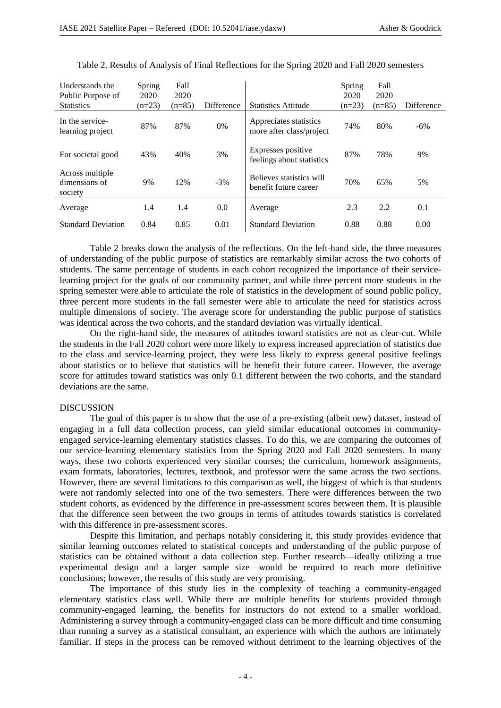| Understands the<br>Public Purpose of        | Spring<br>2020 | Fall<br>2020 |            |                                                    | Spring<br>2020 | Fall<br>2020 |            |
|---------------------------------------------|----------------|--------------|------------|----------------------------------------------------|----------------|--------------|------------|
| <b>Statistics</b>                           | $(n=23)$       | $(n=85)$     | Difference | <b>Statistics Attitude</b>                         | $(n=23)$       | $(n=85)$     | Difference |
| In the service-<br>learning project         | 87%            | 87%          | 0%         | Appreciates statistics<br>more after class/project | 74%            | 80%          | $-6\%$     |
| For societal good                           | 43%            | 40%          | 3%         | Expresses positive<br>feelings about statistics    | 87%            | 78%          | 9%         |
| Across multiple<br>dimensions of<br>society | 9%             | 12%          | $-3%$      | Believes statistics will<br>benefit future career  | 70%            | 65%          | 5%         |
| Average                                     | 1.4            | 1.4          | 0.0        | Average                                            | 2.3            | 2.2          | 0.1        |
| <b>Standard Deviation</b>                   | 0.84           | 0.85         | 0.01       | <b>Standard Deviation</b>                          | 0.88           | 0.88         | 0.00       |

Table 2. Results of Analysis of Final Reflections for the Spring 2020 and Fall 2020 semesters

Table 2 breaks down the analysis of the reflections. On the left-hand side, the three measures of understanding of the public purpose of statistics are remarkably similar across the two cohorts of students. The same percentage of students in each cohort recognized the importance of their servicelearning project for the goals of our community partner, and while three percent more students in the spring semester were able to articulate the role of statistics in the development of sound public policy, three percent more students in the fall semester were able to articulate the need for statistics across multiple dimensions of society. The average score for understanding the public purpose of statistics was identical across the two cohorts, and the standard deviation was virtually identical.

On the right-hand side, the measures of attitudes toward statistics are not as clear-cut. While the students in the Fall 2020 cohort were more likely to express increased appreciation of statistics due to the class and service-learning project, they were less likely to express general positive feelings about statistics or to believe that statistics will be benefit their future career. However, the average score for attitudes toward statistics was only 0.1 different between the two cohorts, and the standard deviations are the same.

#### DISCUSSION

The goal of this paper is to show that the use of a pre-existing (albeit new) dataset, instead of engaging in a full data collection process, can yield similar educational outcomes in communityengaged service-learning elementary statistics classes. To do this, we are comparing the outcomes of our service-learning elementary statistics from the Spring 2020 and Fall 2020 semesters. In many ways, these two cohorts experienced very similar courses; the curriculum, homework assignments, exam formats, laboratories, lectures, textbook, and professor were the same across the two sections. However, there are several limitations to this comparison as well, the biggest of which is that students were not randomly selected into one of the two semesters. There were differences between the two student cohorts, as evidenced by the difference in pre-assessment scores between them. It is plausible that the difference seen between the two groups in terms of attitudes towards statistics is correlated with this difference in pre-assessment scores.

Despite this limitation, and perhaps notably considering it, this study provides evidence that similar learning outcomes related to statistical concepts and understanding of the public purpose of statistics can be obtained without a data collection step. Further research—ideally utilizing a true experimental design and a larger sample size—would be required to reach more definitive conclusions; however, the results of this study are very promising.

The importance of this study lies in the complexity of teaching a community-engaged elementary statistics class well. While there are multiple benefits for students provided through community-engaged learning, the benefits for instructors do not extend to a smaller workload. Administering a survey through a community-engaged class can be more difficult and time consuming than running a survey as a statistical consultant, an experience with which the authors are intimately familiar. If steps in the process can be removed without detriment to the learning objectives of the